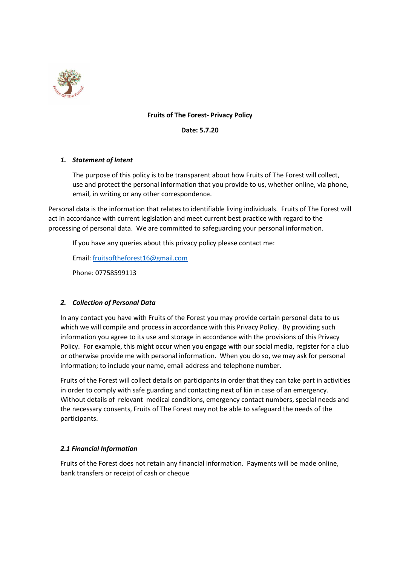

# **Fruits of The Forest- Privacy Policy**

**Date: 5.7.20**

# *1. Statement of Intent*

The purpose of this policy is to be transparent about how Fruits of The Forest will collect, use and protect the personal information that you provide to us, whether online, via phone, email, in writing or any other correspondence.

Personal data is the information that relates to identifiable living individuals. Fruits of The Forest will act in accordance with current legislation and meet current best practice with regard to the processing of personal data. We are committed to safeguarding your personal information.

If you have any queries about this privacy policy please contact me:

Email: [fruitsoftheforest16@gmail.com](mailto:fruitsoftheforest16@gmail.com)

Phone: 07758599113

# *2. Collection of Personal Data*

In any contact you have with Fruits of the Forest you may provide certain personal data to us which we will compile and process in accordance with this Privacy Policy. By providing such information you agree to its use and storage in accordance with the provisions of this Privacy Policy. For example, this might occur when you engage with our social media, register for a club or otherwise provide me with personal information. When you do so, we may ask for personal information; to include your name, email address and telephone number.

Fruits of the Forest will collect details on participants in order that they can take part in activities in order to comply with safe guarding and contacting next of kin in case of an emergency. Without details of relevant medical conditions, emergency contact numbers, special needs and the necessary consents, Fruits of The Forest may not be able to safeguard the needs of the participants.

# *2.1 Financial Information*

Fruits of the Forest does not retain any financial information. Payments will be made online, bank transfers or receipt of cash or cheque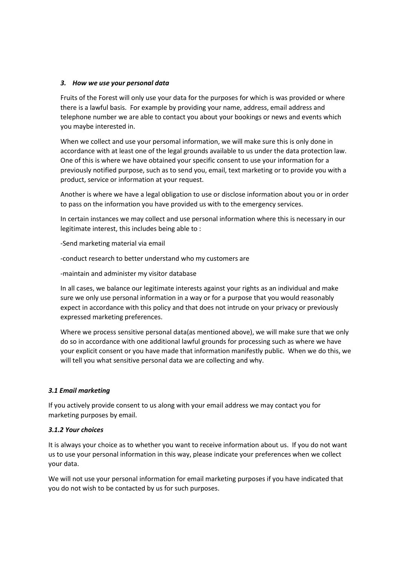### *3. How we use your personal data*

Fruits of the Forest will only use your data for the purposes for which is was provided or where there is a lawful basis. For example by providing your name, address, email address and telephone number we are able to contact you about your bookings or news and events which you maybe interested in.

When we collect and use your persomal information, we will make sure this is only done in accordance with at least one of the legal grounds available to us under the data protection law. One of this is where we have obtained your specific consent to use your information for a previously notified purpose, such as to send you, email, text marketing or to provide you with a product, service or information at your request.

Another is where we have a legal obligation to use or disclose information about you or in order to pass on the information you have provided us with to the emergency services.

In certain instances we may collect and use personal information where this is necessary in our legitimate interest, this includes being able to :

-Send marketing material via email

-conduct research to better understand who my customers are

-maintain and administer my visitor database

In all cases, we balance our legitimate interests against your rights as an individual and make sure we only use personal information in a way or for a purpose that you would reasonably expect in accordance with this policy and that does not intrude on your privacy or previously expressed marketing preferences.

Where we process sensitive personal data(as mentioned above), we will make sure that we only do so in accordance with one additional lawful grounds for processing such as where we have your explicit consent or you have made that information manifestly public. When we do this, we will tell you what sensitive personal data we are collecting and why.

# *3.1 Email marketing*

If you actively provide consent to us along with your email address we may contact you for marketing purposes by email.

### *3.1.2 Your choices*

It is always your choice as to whether you want to receive information about us. If you do not want us to use your personal information in this way, please indicate your preferences when we collect your data.

We will not use your personal information for email marketing purposes if you have indicated that you do not wish to be contacted by us for such purposes.